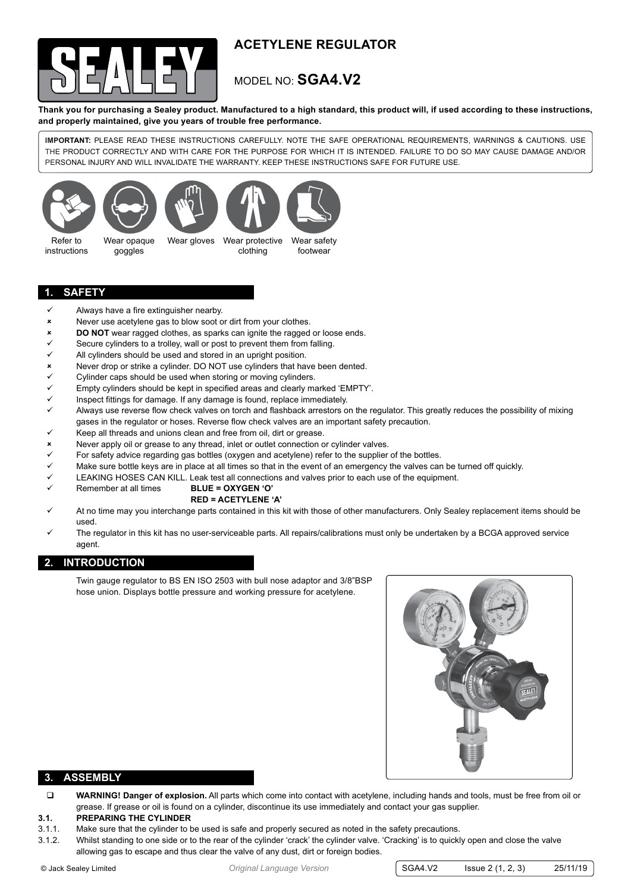

# **ACETYLENE regulator**

# model no: **SGA4.V2**

**Thank you for purchasing a Sealey product. Manufactured to a high standard, this product will, if used according to these instructions, and properly maintained, give you years of trouble free performance.**

**IMPORTANT:** PLEASE READ THESE INSTRUCTIONS CAREFULLY. NOTE THE SAFE OPERATIONAL REQUIREMENTS, WARNINGS & CAUTIONS. USE THE PRODUCT CORRECTLY AND WITH CARE FOR THE PURPOSE FOR WHICH IT IS INTENDED. FAILURE TO DO SO MAY CAUSE DAMAGE AND/OR PERSONAL INJURY AND WILL INVALIDATE THE WARRANTY. KEEP THESE INSTRUCTIONS SAFE FOR FUTURE USE.









Refer to instructions

Wear opaque goggles

Wear gloves Wear protective clothing

Wear safety footwear

### **1. safety**

- Always have a fire extinguisher nearby.
- 8 Never use acetylene gas to blow soot or dirt from your clothes.
- 8 **DO NOT** wear ragged clothes, as sparks can ignite the ragged or loose ends.
- Secure cylinders to a trolley, wall or post to prevent them from falling.
- All cylinders should be used and stored in an upright position.
- **8** Never drop or strike a cylinder. DO NOT use cylinders that have been dented.<br>Cylinder cans should be used when storing or moving cylinders
- Cylinder caps should be used when storing or moving cylinders.
- $\checkmark$  Empty cylinders should be kept in specified areas and clearly marked 'EMPTY'.<br> $\checkmark$  Inspect fittings for damage If any damage is found replace immediately
- Inspect fittings for damage. If any damage is found, replace immediately.
- $\checkmark$  Always use reverse flow check valves on torch and flashback arrestors on the regulator. This greatly reduces the possibility of mixing gases in the regulator or hoses. Reverse flow check valves are an important safety precaution.
- Keep all threads and unions clean and free from oil, dirt or grease.
- Never apply oil or grease to any thread, inlet or outlet connection or cylinder valves.
- For safety advice regarding gas bottles (oxygen and acetylene) refer to the supplier of the bottles.
- Make sure bottle keys are in place at all times so that in the event of an emergency the valves can be turned off quickly.
- LEAKING HOSES CAN KILL. Leak test all connections and valves prior to each use of the equipment.
- 9 Remember at all times **BLUE = OXYGEN 'O'**
	- **RED = ACETYLENE 'A'**
- 9 At no time may you interchange parts contained in this kit with those of other manufacturers. Only Sealey replacement items should be used.
- The regulator in this kit has no user-serviceable parts. All repairs/calibrations must only be undertaken by a BCGA approved service agent.

# **2. introduction**

Twin gauge regulator to BS EN ISO 2503 with bull nose adaptor and 3/8"BSP hose union. Displays bottle pressure and working pressure for acetylene.



### **3. assembly**

 **WARNING! Danger of explosion.** All parts which come into contact with acetylene, including hands and tools, must be free from oil or grease. If grease or oil is found on a cylinder, discontinue its use immediately and contact your gas supplier.

#### **3.1. PREPARING THE CYLINDER**

- 3.1.1. Make sure that the cylinder to be used is safe and properly secured as noted in the safety precautions.
- 3.1.2. Whilst standing to one side or to the rear of the cylinder 'crack' the cylinder valve. 'Cracking' is to quickly open and close the valve allowing gas to escape and thus clear the valve of any dust, dirt or foreign bodies.